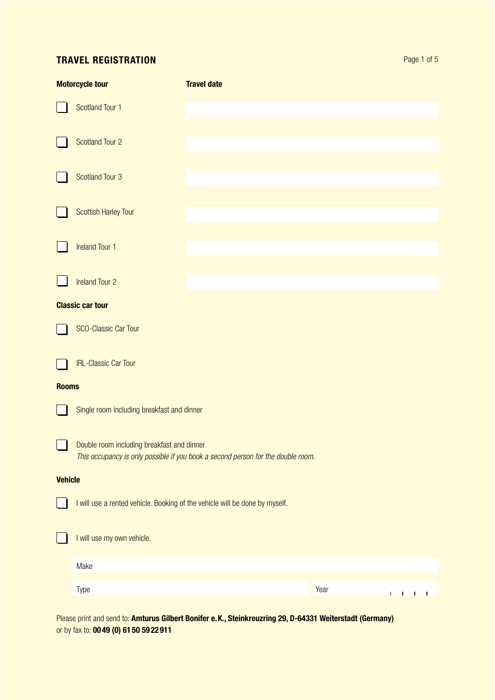# Travel registration

| <b>Motorcycle tour</b> |                                                                                                                                | <b>Travel date</b> |                                  |  |  |  |  |  |
|------------------------|--------------------------------------------------------------------------------------------------------------------------------|--------------------|----------------------------------|--|--|--|--|--|
|                        | Scotland Tour 1                                                                                                                |                    |                                  |  |  |  |  |  |
|                        | <b>Scotland Tour 2</b>                                                                                                         |                    |                                  |  |  |  |  |  |
|                        | <b>Scotland Tour 3</b>                                                                                                         |                    |                                  |  |  |  |  |  |
|                        | <b>Scottish Harley Tour</b>                                                                                                    |                    |                                  |  |  |  |  |  |
|                        | <b>Ireland Tour 1</b>                                                                                                          |                    |                                  |  |  |  |  |  |
|                        | <b>Ireland Tour 2</b>                                                                                                          |                    |                                  |  |  |  |  |  |
|                        | <b>Classic car tour</b>                                                                                                        |                    |                                  |  |  |  |  |  |
|                        | <b>SCO-Classic Car Tour</b>                                                                                                    |                    |                                  |  |  |  |  |  |
|                        | <b>IRL-Classic Car Tour</b>                                                                                                    |                    |                                  |  |  |  |  |  |
| <b>Rooms</b>           |                                                                                                                                |                    |                                  |  |  |  |  |  |
|                        | Single room including breakfast and dinner                                                                                     |                    |                                  |  |  |  |  |  |
|                        | Double room including breakfast and dinner<br>This occupancy is only possible if you book a second person for the double room. |                    |                                  |  |  |  |  |  |
| <b>Vehicle</b>         |                                                                                                                                |                    |                                  |  |  |  |  |  |
|                        | I will use a rented vehicle. Booking of the vehicle will be done by myself.                                                    |                    |                                  |  |  |  |  |  |
|                        | I will use my own vehicle.                                                                                                     |                    |                                  |  |  |  |  |  |
|                        | Make                                                                                                                           |                    |                                  |  |  |  |  |  |
|                        | Type                                                                                                                           |                    | Year<br>L<br>$\sim$ 1<br>L<br>J. |  |  |  |  |  |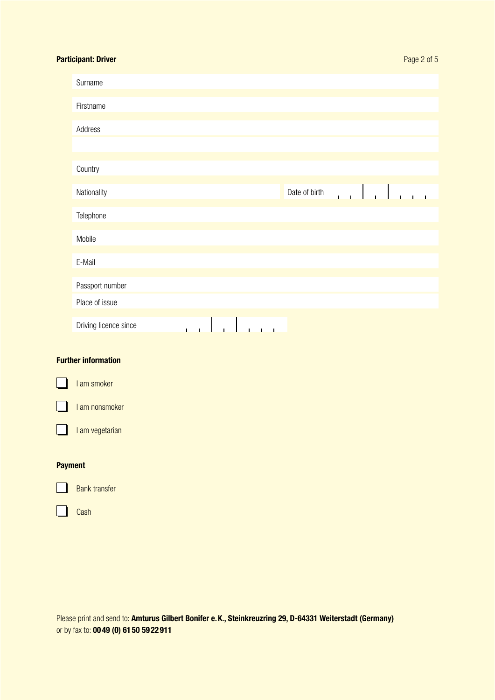# Participant: Driver

| Surname               |              |              |              |              |             |              |               |       |                      |       |  |
|-----------------------|--------------|--------------|--------------|--------------|-------------|--------------|---------------|-------|----------------------|-------|--|
|                       |              |              |              |              |             |              |               |       |                      |       |  |
| Firstname             |              |              |              |              |             |              |               |       |                      |       |  |
|                       |              |              |              |              |             |              |               |       |                      |       |  |
| Address               |              |              |              |              |             |              |               |       |                      |       |  |
|                       |              |              |              |              |             |              |               |       |                      |       |  |
|                       |              |              |              |              |             |              |               |       |                      |       |  |
| Country               |              |              |              |              |             |              |               |       |                      |       |  |
|                       |              |              |              |              |             |              |               |       |                      |       |  |
| Nationality           |              |              |              |              |             |              | Date of birth | الليس | $\ddot{\phantom{0}}$ | يستطي |  |
|                       |              |              |              |              |             |              |               |       |                      |       |  |
| Telephone             |              |              |              |              |             |              |               |       |                      |       |  |
|                       |              |              |              |              |             |              |               |       |                      |       |  |
| Mobile                |              |              |              |              |             |              |               |       |                      |       |  |
|                       |              |              |              |              |             |              |               |       |                      |       |  |
| E-Mail                |              |              |              |              |             |              |               |       |                      |       |  |
|                       |              |              |              |              |             |              |               |       |                      |       |  |
| Passport number       |              |              |              |              |             |              |               |       |                      |       |  |
| Place of issue        |              |              |              |              |             |              |               |       |                      |       |  |
|                       |              |              |              |              |             |              |               |       |                      |       |  |
| Driving licence since | $\mathbf{I}$ | $\mathbf{I}$ | $\mathbf{I}$ | $\mathbf{I}$ | $\mathbf I$ | $\mathbf{I}$ |               |       |                      |       |  |
|                       |              |              |              |              |             |              |               |       |                      |       |  |

# Further information

I am smoker I I am nonsmoker I am vegetarian I

# Payment



Cash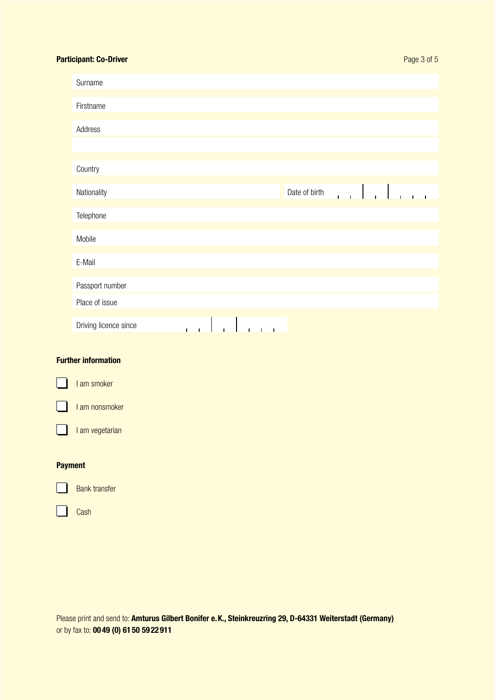# Participant: Co-Driver

| Surname               |                                        |              |              |               |       |             |  |  |
|-----------------------|----------------------------------------|--------------|--------------|---------------|-------|-------------|--|--|
|                       |                                        |              |              |               |       |             |  |  |
| Firstname             |                                        |              |              |               |       |             |  |  |
| Address               |                                        |              |              |               |       |             |  |  |
|                       |                                        |              |              |               |       |             |  |  |
|                       |                                        |              |              |               |       |             |  |  |
| Country               |                                        |              |              |               |       |             |  |  |
|                       |                                        |              |              |               |       |             |  |  |
| Nationality           |                                        |              |              | Date of birth | للمنب | التواط المر |  |  |
| Telephone             |                                        |              |              |               |       |             |  |  |
|                       |                                        |              |              |               |       |             |  |  |
| Mobile                |                                        |              |              |               |       |             |  |  |
|                       |                                        |              |              |               |       |             |  |  |
| E-Mail                |                                        |              |              |               |       |             |  |  |
|                       |                                        |              |              |               |       |             |  |  |
| Passport number       |                                        |              |              |               |       |             |  |  |
| Place of issue        |                                        |              |              |               |       |             |  |  |
|                       |                                        |              |              |               |       |             |  |  |
| Driving licence since | $\mathbf{I}$ $\mathbf{I}$ $\mathbf{I}$ | $\mathbf{L}$ | $-1 - 1 - 1$ |               |       |             |  |  |

# Further information

I am smoker I I am nonsmoker I am vegetarian I Payment

Bank transfer

Cash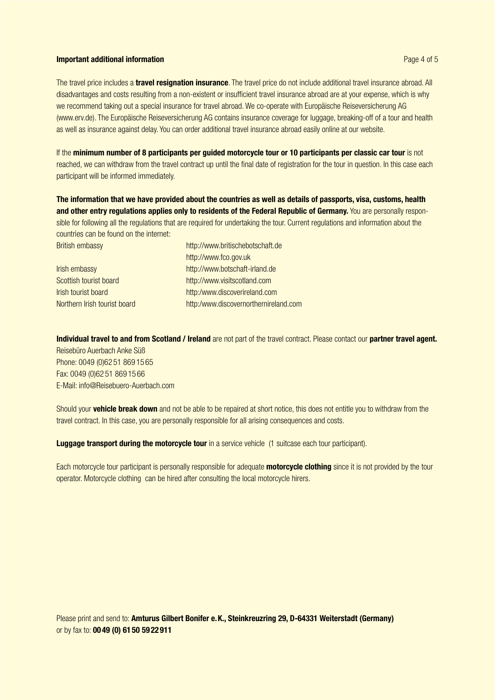## Important additional information

Page 4 of 5

The travel price includes a **travel resignation insurance**. The travel price do not include additional travel insurance abroad. All disadvantages and costs resulting from a non-existent or insufficient travel insurance abroad are at your expense, which is why we recommend taking out a special insurance for travel abroad. We co-operate with Europäische Reiseversicherung AG (www.erv.de). The Europäische Reiseversicherung AG contains insurance coverage for luggage, breaking-off of a tour and health as well as insurance against delay. You can order additional travel insurance abroad easily online at our website.

If the minimum number of 8 participants per guided motorcycle tour or 10 participants per classic car tour is not reached, we can withdraw from the travel contract up until the final date of registration for the tour in question. In this case each participant will be informed immediately.

The information that we have provided about the countries as well as details of passports, visa, customs, health and other entry regulations applies only to residents of the Federal Republic of Germany. You are personally responsible for following all the regulations that are required for undertaking the tour. Current regulations and information about the countries can be found on the internet:

British embassy http://www.britischebotschaft.de http://www.fco.gov.uk Irish embassy http://www.botschaft-irland.de Scottish tourist board http://www.visitscotland.com Irish tourist board http:/www.discoverireland.com

Northern Irish tourist board http:/www.discovernorthernireland.com

Individual travel to and from Scotland / Ireland are not part of the travel contract. Please contact our partner travel agent.

Reisebüro Auerbach Anke Süß Phone: 0049 (0)62 51 869 15 65 Fax: 0049 (0)62 51 869 15 66 E-Mail: info@Reisebuero-Auerbach.com

Should your **vehicle break down** and not be able to be repaired at short notice, this does not entitle you to withdraw from the travel contract. In this case, you are personally responsible for all arising consequences and costs.

Luggage transport during the motorcycle tour in a service vehicle (1 suitcase each tour participant).

Each motorcycle tour participant is personally responsible for adequate motorcycle clothing since it is not provided by the tour operator. Motorcycle clothing can be hired after consulting the local motorcycle hirers.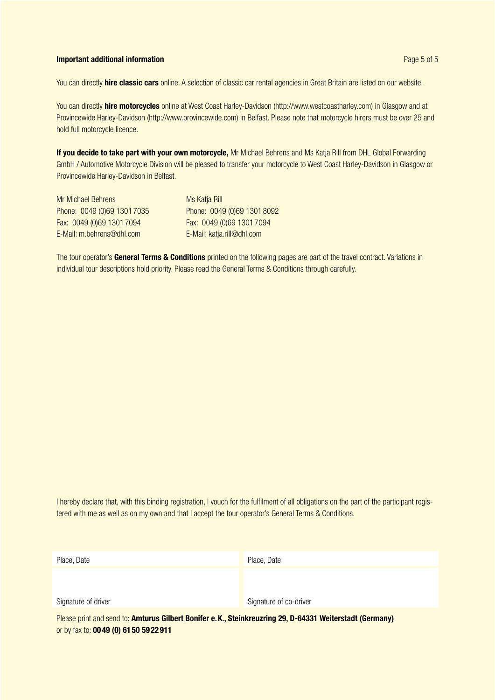# Important additional information

You can directly **hire classic cars** online. A selection of classic car rental agencies in Great Britain are listed on our website.

You can directly hire motorcycles online at West Coast Harley-Davidson (http://www.westcoastharley.com) in Glasgow and at Provincewide Harley-Davidson (http://www.provincewide.com) in Belfast. Please note that motorcycle hirers must be over 25 and hold full motorcycle licence.

If you decide to take part with your own motorcycle, Mr Michael Behrens and Ms Katja Rill from DHL Global Forwarding GmbH / Automotive Motorcycle Division will be pleased to transfer your motorcycle to West Coast Harley-Davidson in Glasgow or Provincewide Harley-Davidson in Belfast.

| Mr Michael Behrens          |  |  |  |  |  |  |
|-----------------------------|--|--|--|--|--|--|
| Phone: 0049 (0)69 1301 7035 |  |  |  |  |  |  |
| Fax: 0049 (0)69 1301 7094   |  |  |  |  |  |  |
| E-Mail: m.behrens@dhl.com   |  |  |  |  |  |  |

**Ms Katia Rill** Phone: 0049 (0)69 1301 8092 Fax: 0049 (0)69 1301 7094 Fax: 0049 (0)69 1301 7094 E-Mail: katia.rill@dhl.com

The tour operator's General Terms & Conditions printed on the following pages are part of the travel contract. Variations in individual tour descriptions hold priority. Please read the General Terms & Conditions through carefully.

I hereby declare that, with this binding registration, I vouch for the fulfilment of all obligations on the part of the participant registered with me as well as on my own and that I accept the tour operator's General Terms & Conditions.

| Place, Date                                                                                                      | Place, Date            |  |  |  |  |  |  |  |
|------------------------------------------------------------------------------------------------------------------|------------------------|--|--|--|--|--|--|--|
|                                                                                                                  |                        |  |  |  |  |  |  |  |
| Signature of driver                                                                                              | Signature of co-driver |  |  |  |  |  |  |  |
| Dissex what each condition Application Oilleant Depthene M., Otalinformation OO, D. C4004 Weltenstedt (Ogmessed) |                        |  |  |  |  |  |  |  |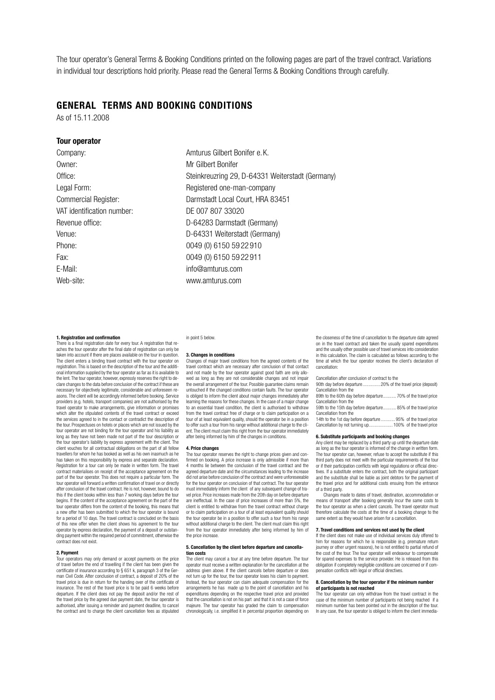The tour operator's General Terms & Booking Conditions printed on the following pages are part of the travel contract. Variations in individual tour descriptions hold priority. Please read the General Terms & Booking Conditions through carefully.

# General Terms and Booking Conditions

As of 15.11.2008

## Tour operator

Owner: Mr Gilbert Bonifer VAT identification number: DE 007 807 33020 Phone: 0049 (0) 6150 59 22 910 Fax: 0049 (0) 6150 59 22 911 E-Mail: info@amturus.com Web-site: www.amturus.com

Company: Company: Company: Company: Amturus Gilbert Bonifer e.K. Office: Steinkreuzring 29, D-64331 Weiterstadt (Germany) Legal Form: example and the Registered one-man-company Commercial Register: Darmstadt Local Court, HRA 83451 Revenue office: D-64283 Darmstadt (Germany) Venue: D-64331 Weiterstadt (Germany)

## 1. Registration and confirmation

There is a final registration date for every tour. A registration that reaches the tour operator after the final date of registration can only be taken into account if there are places available on the tour in question. The client enters a binding travel contract with the tour operator on registration. This is based on the description of the tour and the additional information supplied by the tour operator as far as it is available to the lent. The tour operator, however, expressly reserves the right to declare changes to the data before conclusion of the contract if these are necessary for objectively legitimate, considerable and unforeseen reasons. The client will be accordingly informed before booking. Service providers (e.g. hotels, transport companies) are not authorised by the travel operator to make arrangements, give information or promises which alter the stipulated contents of the travel contract or exceed the services agreed to in the contact or contradict the description of the tour. Prospectuses on hotels or places which are not issued by the tour operator are not binding for the tour operator and his liability as long as they have not been made not part of the tour description or the tour operator's liability by express agreement with the client. The client vouches for all contractual obligations on the part of all fellow travellers for whom he has booked as well as his own inasmuch as he has taken on this responsibility by express and separate declaration. Registration for a tour can only be made in written form. The travel contract materialises on receipt of the acceptance agreement on the part of the tour operator. This does not require a particular form. The tour operator will forward a written confirmation of travel on or directly after conclusion of the travel contract. He is not, however, bound to do this if the client books within less than 7 working days before the tour begins. If the content of the acceptance agreement on the part of the tour operator differs from the content of the booking, this means that a new offer has been submitted to which the tour operator is bound for a period of 10 days. The travel contract is concluded on the basis of this new offer when the client shows his agreement to the tour operator by express declaration, the payment of a deposit or outstanding payment within the required period of commitment, otherwise the contract does not exist.

## 2. Payment

Tour operators may only demand or accept payments on the price of travel before the end of travelling if the client has been given the certificate of insurance according to § 651 k, paragraph 3 of the German Civil Code. After conclusion of contract, a deposit of 20% of the travel price is due in return for the handing over of the certificate of insurance. The rest of the travel price is to be paid 6 weeks before departure. If the client does not pay the deposit and/or the rest of the travel price by the agreed due payment date, the tour operator is authorised, after issuing a reminder and payment deadline, to cancel the contract and to charge the client cancellation fees as stipulated in point 5 below.

#### 3. Changes in conditions

Changes of major travel conditions from the agreed contents of the travel contract which are necessary after conclusion of that contact and not made by the tour operator against good faith are only allo-wed as long as they are not considerable changes and not impair the overall arrangement of the tour. Possible guarantee claims remain untouched if the changed conditions contain faults. The tour operator is obliged to inform the client about major changes immediately after learning the reasons for these changes. In the case of a major change to an essential travel condition, the client is authorised to withdraw from the travel contract free of charge or to claim participation on a tour of at least equivalent quality, should the operator be in a position to offer such a tour from his range without additional charge to the client. The client must claim this right from the tour operator immediately after being informed by him of the changes in conditions.

#### 4. Price changes

The tour operator reserves the right to change prices given and confirmed on booking. A price increase is only admissible if more than 4 months lie between the conclusion of the travel contract and the agreed departure date and the circumstances leading to the increase did not arise before conclusion of the contract and were unforeseeable for the tour operator on conclusion of that contract. The tour operator must immediately inform the client of any subsequent change of travel price. Price increases made from the 20th day on before departure are ineffectual. In the case of price increases of more than 5%, the client is entitled to withdraw from the travel contract without charge or to claim participation on a tour of at least equivalent quality should the tour operator be in a position to offer such a tour from his range without additional charge to the client. The client must claim this right from the tour operator immediately after being informed by him of the price increase.

#### 5. Cancellation by the client before departure and cancellation costs

The client may cancel a tour at any time before departure. The tour operator must receive a written explanation for the cancellation at the address given above. If the client cancels before departure or does not turn up for the tour, the tour operator loses his claim to payment. Instead, the tour operator can claim adequate compensation for the arrangements he has made up to the point of cancellation and his expenditures depending on the respective travel price and provided that the cancellation is not on his part and that it is not a case of force majeure. The tour operator has graded the claim to compensation chronologically, i.e. simplified it in percental proportion depending on the closeness of the time of cancellation to the departure date agreed on in the travel contract and taken the usually spared expenditures and the usually other possible use of travel services into consideration in this calculation. The claim is calculated as follows according to the time at which the tour operator receives the client's declaration of cancellation:

Cancellation after conclusion of contract to the

| 90th day before departure 20% of the travel price (deposit)   |  |
|---------------------------------------------------------------|--|
| Cancellation from the                                         |  |
| 89th to the 60th day before departure 70% of the travel price |  |
| Cancellation from the                                         |  |
| 59th to the 15th day before departure 85% of the travel price |  |

Cancellation from the

14th to the 1st day before departure............ 95% of the travel price Cancellation by not turning up....

#### 6. Substitute participants and booking changes

Any client may be replaced by a third party up until the departure date as long as the tour operator is informed of the change in written form. The tour operator can, however, refuse to accept the substitute if this third party does not meet with the particular requirements of the tour or if their participation conflicts with legal regulations or official direc-tives. If a substitute enters the contract, both the original participant and the substitute shall be liable as joint debtors for the payment of the travel price and for additional costs ensuing from the entrance of a third party.

Changes made to dates of travel, destination, accommodation or means of transport after booking generally incur the same costs to the tour operator as when a client cancels. The travel operator must therefore calculate the costs at the time of a booking change to the same extent as they would have arisen for a cancellation.

## 7. Travel conditions and services not used by the client

If the client does not make use of individual services duly offered to him for reasons for which he is responsible (e.g. premature return journey or other urgent reasons), he is not entitled to partial refund of the cost of the tour. The tour operator will endeavour to compensate for spared expenses to the service provider. He is released from this obligation if completely negligible conditions are concerned or if compensation conflicts with legal or official directives.

#### 8. Cancellation by the tour operator if the minimum num of participants is not reached

The tour operator can only withdraw from the travel contract in the case of the minimum number of participants not being reached if a minimum number has been pointed out in the description of the tour. In any case, the tour operator is obliged to inform the client immedia